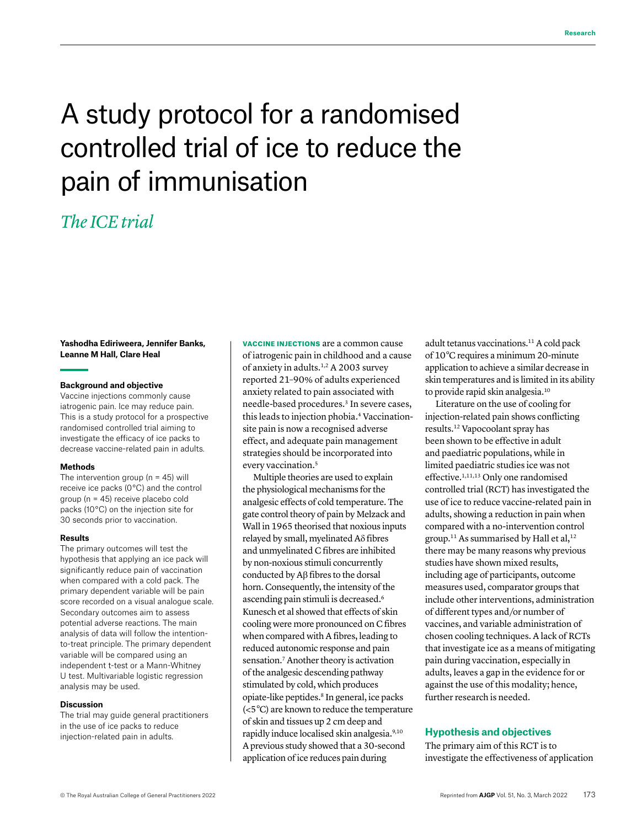# A study protocol for a randomised controlled trial of ice to reduce the pain of immunisation

# *The ICE trial*

#### **Yashodha Ediriweera, Jennifer Banks, Leanne M Hall, Clare Heal**

#### **Background and objective**

Vaccine injections commonly cause iatrogenic pain. Ice may reduce pain. This is a study protocol for a prospective randomised controlled trial aiming to investigate the efficacy of ice packs to decrease vaccine-related pain in adults.

#### **Methods**

The intervention group ( $n = 45$ ) will receive ice packs (0 °C) and the control group (n = 45) receive placebo cold packs (10 °C) on the injection site for 30 seconds prior to vaccination.

#### **Results**

The primary outcomes will test the hypothesis that applying an ice pack will significantly reduce pain of vaccination when compared with a cold pack. The primary dependent variable will be pain score recorded on a visual analogue scale. Secondary outcomes aim to assess potential adverse reactions. The main analysis of data will follow the intentionto-treat principle. The primary dependent variable will be compared using an independent t-test or a Mann-Whitney U test. Multivariable logistic regression analysis may be used.

#### **Discussion**

The trial may guide general practitioners in the use of ice packs to reduce injection-related pain in adults.

VACCINE INJECTIONS are a common cause of iatrogenic pain in childhood and a cause of anxiety in adults.1,2 A 2003 survey reported 21–90% of adults experienced anxiety related to pain associated with needle-based procedures.3 In severe cases, this leads to injection phobia.4 Vaccinationsite pain is now a recognised adverse effect, and adequate pain management strategies should be incorporated into every vaccination.<sup>5</sup>

Multiple theories are used to explain the physiological mechanisms for the analgesic effects of cold temperature. The gate control theory of pain by Melzack and Wall in 1965 theorised that noxious inputs relayed by small, myelinated Aδ fibres and unmyelinated C fibres are inhibited by non-noxious stimuli concurrently conducted by Aβ fibres to the dorsal horn. Consequently, the intensity of the ascending pain stimuli is decreased.<sup>6</sup> Kunesch et al showed that effects of skin cooling were more pronounced on C fibres when compared with A fibres, leading to reduced autonomic response and pain sensation.7 Another theory is activation of the analgesic descending pathway stimulated by cold, which produces opiate-like peptides.8 In general, ice packs (<5 °C) are known to reduce the temperature of skin and tissues up 2 cm deep and rapidly induce localised skin analgesia.9,10 A previous study showed that a 30-second application of ice reduces pain during

adult tetanus vaccinations.11 A cold pack of 10°C requires a minimum 20-minute application to achieve a similar decrease in skin temperatures and is limited in its ability to provide rapid skin analgesia.10

Literature on the use of cooling for injection-related pain shows conflicting results.12 Vapocoolant spray has been shown to be effective in adult and paediatric populations, while in limited paediatric studies ice was not effective.1,11,13 Only one randomised controlled trial (RCT) has investigated the use of ice to reduce vaccine-related pain in adults, showing a reduction in pain when compared with a no-intervention control group.<sup>11</sup> As summarised by Hall et al,<sup>12</sup> there may be many reasons why previous studies have shown mixed results, including age of participants, outcome measures used, comparator groups that include other interventions, administration of different types and/or number of vaccines, and variable administration of chosen cooling techniques. A lack of RCTs that investigate ice as a means of mitigating pain during vaccination, especially in adults, leaves a gap in the evidence for or against the use of this modality; hence, further research is needed.

# **Hypothesis and objectives**

The primary aim of this RCT is to investigate the effectiveness of application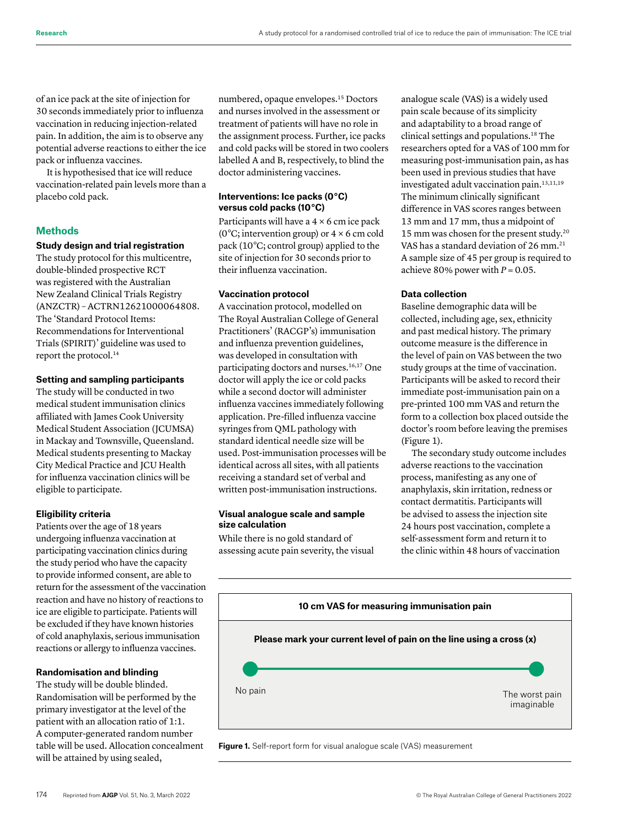of an ice pack at the site of injection for 30 seconds immediately prior to influenza vaccination in reducing injection-related pain. In addition, the aim is to observe any potential adverse reactions to either the ice pack or influenza vaccines.

It is hypothesised that ice will reduce vaccination-related pain levels more than a placebo cold pack.

# **Methods**

# **Study design and trial registration**

The study protocol for this multicentre, double-blinded prospective RCT was registered with the Australian New Zealand Clinical Trials Registry (ANZCTR) – ACTRN12621000064808. The 'Standard Protocol Items: Recommendations for Interventional Trials (SPIRIT)' guideline was used to report the protocol.14

#### **Setting and sampling participants**

The study will be conducted in two medical student immunisation clinics affiliated with James Cook University Medical Student Association (JCUMSA) in Mackay and Townsville, Queensland. Medical students presenting to Mackay City Medical Practice and JCU Health for influenza vaccination clinics will be eligible to participate.

### **Eligibility criteria**

Patients over the age of 18 years undergoing influenza vaccination at participating vaccination clinics during the study period who have the capacity to provide informed consent, are able to return for the assessment of the vaccination reaction and have no history of reactions to ice are eligible to participate. Patients will be excluded if they have known histories of cold anaphylaxis, serious immunisation reactions or allergy to influenza vaccines.

# **Randomisation and blinding**

The study will be double blinded. Randomisation will be performed by the primary investigator at the level of the patient with an allocation ratio of 1:1. A computer-generated random number table will be used. Allocation concealment will be attained by using sealed,

numbered, opaque envelopes.15 Doctors and nurses involved in the assessment or treatment of patients will have no role in the assignment process. Further, ice packs and cold packs will be stored in two coolers labelled A and B, respectively, to blind the doctor administering vaccines.

### **Interventions: Ice packs (0 °C) versus cold packs (10 °C)**

Participants will have a  $4 \times 6$  cm ice pack ( $0^{\circ}$ C; intervention group) or  $4 \times 6$  cm cold pack (10 °C; control group) applied to the site of injection for 30 seconds prior to their influenza vaccination.

# **Vaccination protocol**

A vaccination protocol, modelled on The Royal Australian College of General Practitioners' (RACGP's) immunisation and influenza prevention guidelines, was developed in consultation with participating doctors and nurses.<sup>16,17</sup> One doctor will apply the ice or cold packs while a second doctor will administer influenza vaccines immediately following application. Pre-filled influenza vaccine syringes from QML pathology with standard identical needle size will be used. Post-immunisation processes will be identical across all sites, with all patients receiving a standard set of verbal and written post-immunisation instructions.

# **Visual analogue scale and sample size calculation**

While there is no gold standard of assessing acute pain severity, the visual analogue scale (VAS) is a widely used pain scale because of its simplicity and adaptability to a broad range of clinical settings and populations.18 The researchers opted for a VAS of 100 mm for measuring post-immunisation pain, as has been used in previous studies that have investigated adult vaccination pain.<sup>13,11,19</sup> The minimum clinically significant difference in VAS scores ranges between 13 mm and 17 mm, thus a midpoint of 15 mm was chosen for the present study.20 VAS has a standard deviation of 26 mm.<sup>21</sup> A sample size of 45 per group is required to achieve 80% power with  $P = 0.05$ .

# **Data collection**

Baseline demographic data will be collected, including age, sex, ethnicity and past medical history. The primary outcome measure is the difference in the level of pain on VAS between the two study groups at the time of vaccination. Participants will be asked to record their immediate post-immunisation pain on a pre-printed 100 mm VAS and return the form to a collection box placed outside the doctor's room before leaving the premises (Figure 1).

The secondary study outcome includes adverse reactions to the vaccination process, manifesting as any one of anaphylaxis, skin irritation, redness or contact dermatitis. Participants will be advised to assess the injection site 24 hours post vaccination, complete a self-assessment form and return it to the clinic within 48 hours of vaccination



**Figure 1.** Self-report form for visual analogue scale (VAS) measurement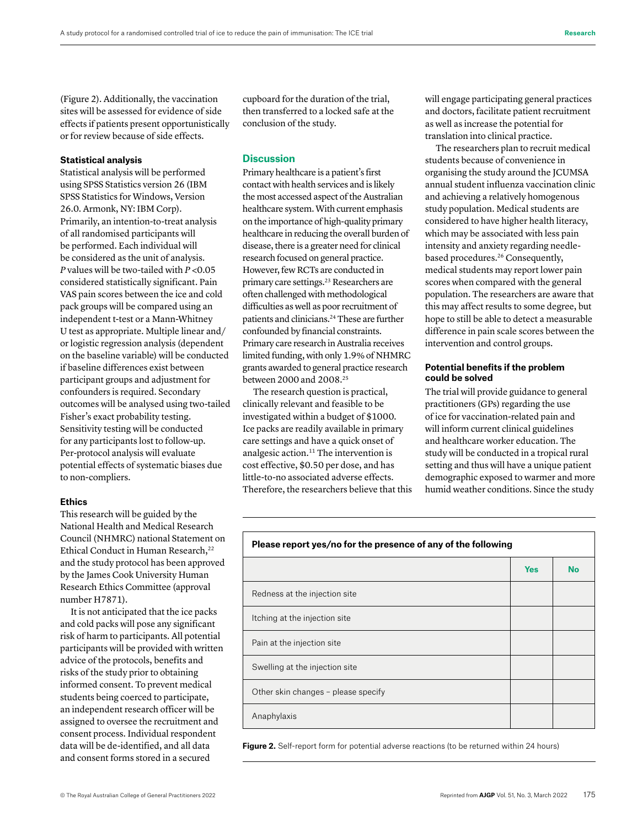data will be de-identified, and all data and consent forms stored in a secured

using SPSS Statistics version 26 (IBM SPSS Statistics for Windows, Version 26.0. Armonk, NY: IBM Corp). Primarily, an intention-to-treat analysis of all randomised participants will be performed. Each individual will be considered as the unit of analysis. *P* values will be two-tailed with *P* <0.05 considered statistically significant. Pain VAS pain scores between the ice and cold pack groups will be compared using an independent t-test or a Mann-Whitney U test as appropriate. Multiple linear and/ or logistic regression analysis (dependent on the baseline variable) will be conducted if baseline differences exist between participant groups and adjustment for confounders is required. Secondary outcomes will be analysed using two-tailed Fisher's exact probability testing. Sensitivity testing will be conducted

for any participants lost to follow-up. Per-protocol analysis will evaluate potential effects of systematic biases due

This research will be guided by the National Health and Medical Research Council (NHMRC) national Statement on Ethical Conduct in Human Research,<sup>22</sup> and the study protocol has been approved by the James Cook University Human Research Ethics Committee (approval

It is not anticipated that the ice packs and cold packs will pose any significant risk of harm to participants. All potential participants will be provided with written advice of the protocols, benefits and risks of the study prior to obtaining informed consent. To prevent medical students being coerced to participate, an independent research officer will be

to non-compliers.

number H7871).

**Ethics** 

**Statistical analysis**  Statistical analysis will be performed

(Figure 2). Additionally, the vaccination sites will be assessed for evidence of side effects if patients present opportunistically or for review because of side effects.

cupboard for the duration of the trial, then transferred to a locked safe at the conclusion of the study.

# **Discussion**

Primary healthcare is a patient's first contact with health services and is likely the most accessed aspect of the Australian healthcare system. With current emphasis on the importance of high-quality primary healthcare in reducing the overall burden of disease, there is a greater need for clinical research focused on general practice. However, few RCTs are conducted in primary care settings.23 Researchers are often challenged with methodological difficulties as well as poor recruitment of patients and clinicians.24 These are further confounded by financial constraints. Primary care research in Australia receives limited funding, with only 1.9% of NHMRC grants awarded to general practice research between 2000 and 2008.25

The research question is practical, clinically relevant and feasible to be investigated within a budget of \$1000. Ice packs are readily available in primary care settings and have a quick onset of analgesic action.11 The intervention is cost effective, \$0.50 per dose, and has little-to-no associated adverse effects. Therefore, the researchers believe that this will engage participating general practices and doctors, facilitate patient recruitment as well as increase the potential for translation into clinical practice.

The researchers plan to recruit medical students because of convenience in organising the study around the JCUMSA annual student influenza vaccination clinic and achieving a relatively homogenous study population. Medical students are considered to have higher health literacy, which may be associated with less pain intensity and anxiety regarding needlebased procedures.26 Consequently, medical students may report lower pain scores when compared with the general population. The researchers are aware that this may affect results to some degree, but hope to still be able to detect a measurable difference in pain scale scores between the intervention and control groups.

# **Potential benefits if the problem could be solved**

The trial will provide guidance to general practitioners (GPs) regarding the use of ice for vaccination-related pain and will inform current clinical guidelines and healthcare worker education. The study will be conducted in a tropical rural setting and thus will have a unique patient demographic exposed to warmer and more humid weather conditions. Since the study

| Please report yes/no for the presence of any of the following |  |
|---------------------------------------------------------------|--|
|                                                               |  |
|                                                               |  |

|                                     | <b>Yes</b> | <b>No</b> |
|-------------------------------------|------------|-----------|
| Redness at the injection site       |            |           |
| Itching at the injection site       |            |           |
| Pain at the injection site          |            |           |
| Swelling at the injection site      |            |           |
| Other skin changes - please specify |            |           |
| Anaphylaxis                         |            |           |
|                                     |            |           |

**Figure 2.** Self-report form for potential adverse reactions (to be returned within 24 hours)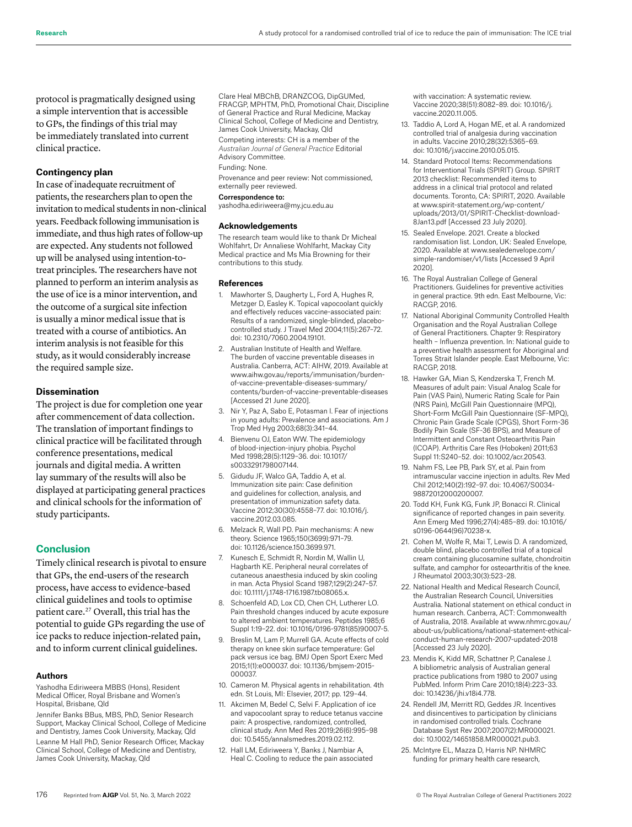protocol is pragmatically designed using a simple intervention that is accessible to GPs, the findings of this trial may be immediately translated into current clinical practice.

#### **Contingency plan**

In case of inadequate recruitment of patients, the researchers plan to open the invitation to medical students in non-clinical years. Feedback following immunisation is immediate, and thus high rates of follow-up are expected. Any students not followed up will be analysed using intention-totreat principles. The researchers have not planned to perform an interim analysis as the use of ice is a minor intervention, and the outcome of a surgical site infection is usually a minor medical issue that is treated with a course of antibiotics. An interim analysis is not feasible for this study, as it would considerably increase the required sample size.

#### **Dissemination**

The project is due for completion one year after commencement of data collection. The translation of important findings to clinical practice will be facilitated through conference presentations, medical journals and digital media. A written lay summary of the results will also be displayed at participating general practices and clinical schools for the information of study participants.

#### **Conclusion**

Timely clinical research is pivotal to ensure that GPs, the end-users of the research process, have access to evidence-based clinical guidelines and tools to optimise patient care.27 Overall, this trial has the potential to guide GPs regarding the use of ice packs to reduce injection-related pain, and to inform current clinical guidelines.

#### **Authors**

Yashodha Ediriweera MBBS (Hons), Resident Medical Officer, Royal Brisbane and Women's Hospital, Brisbane, Qld

Jennifer Banks BBus, MBS, PhD, Senior Research Support, Mackay Clinical School, College of Medicine and Dentistry, James Cook University, Mackay, Qld Leanne M Hall PhD, Senior Research Officer, Mackay Clinical School, College of Medicine and Dentistry, James Cook University, Mackay, Qld

Clare Heal MBChB, DRANZCOG, DipGUMed, FRACGP, MPHTM, PhD, Promotional Chair, Discipline of General Practice and Rural Medicine, Mackay Clinical School, College of Medicine and Dentistry, James Cook University, Mackay, Qld

Competing interests: CH is a member of the *Australian Journal of General Practice* Editorial Advisory Committee.

Funding: None.

Provenance and peer review: Not commissioned, externally peer reviewed.

#### Correspondence to:

yashodha.ediriweera@my.jcu.edu.au

#### **Acknowledgements**

The research team would like to thank Dr Micheal Wohlfahrt, Dr Annaliese Wohlfarht, Mackay City Medical practice and Ms Mia Browning for their contributions to this study.

#### **References**

- 1. Mawhorter S, Daugherty L, Ford A, Hughes R, Metzger D, Easley K. Topical vapocoolant quickly and effectively reduces vaccine-associated pain: Results of a randomized, single-blinded, placebocontrolled study. J Travel Med 2004;11(5):267–72. doi: 10.2310/7060.2004.19101.
- 2. Australian Institute of Health and Welfare. The burden of vaccine preventable diseases in Australia. Canberra, ACT: AIHW, 2019. Available at www.aihw.gov.au/reports/immunisation/burdenof-vaccine-preventable-diseases-summary/ contents/burden-of-vaccine-preventable-diseases [Accessed 21 June 2020].
- 3. Nir Y, Paz A, Sabo E, Potasman I. Fear of injections in young adults: Prevalence and associations. Am J Trop Med Hyg 2003;68(3):341–44.
- 4. Bienvenu OJ, Eaton WW. The epidemiology of blood-injection-injury phobia. Psychol Med 1998;28(5):1129–36. doi: 10.1017/ s0033291798007144.
- 5. Gidudu JF, Walco GA, Taddio A, et al. Immunization site pain: Case definition and guidelines for collection, analysis, and presentation of immunization safety data. Vaccine 2012;30(30):4558–77. doi: 10.1016/j. vaccine.2012.03.085.
- 6. Melzack R, Wall PD. Pain mechanisms: A new theory. Science 1965;150(3699):971–79. doi: 10.1126/science.150.3699.971.
- 7. Kunesch E, Schmidt R, Nordin M, Wallin U, Hagbarth KE. Peripheral neural correlates of cutaneous anaesthesia induced by skin cooling in man. Acta Physiol Scand 1987;129(2):247–57. doi: 10.1111/j.1748-1716.1987.tb08065.x.
- 8. Schoenfeld AD, Lox CD, Chen CH, Lutherer LO. Pain threshold changes induced by acute exposure to altered ambient temperatures. Peptides 1985;6 Suppl 1:19–22. doi: 10.1016/0196-9781(85)90007-5.
- 9. Breslin M, Lam P, Murrell GA. Acute effects of cold therapy on knee skin surface temperature: Gel pack versus ice bag. BMJ Open Sport Exerc Med 2015;1(1):e000037. doi: 10.1136/bmjsem-2015- 000037.
- 10. Cameron M. Physical agents in rehabilitation. 4th edn. St Louis, MI: Elsevier, 2017; pp. 129–44.
- 11. Akcimen M, Bedel C, Selvi F. Application of ice and vapocoolant spray to reduce tetanus vaccine pain: A prospective, randomized, controlled, clinical study. Ann Med Res 2019;26(6):995–98 doi: 10.5455/annalsmedres.2019.02.112.
- 12. Hall LM, Ediriweera Y, Banks J, Nambiar A, Heal C. Cooling to reduce the pain associated

with vaccination: A systematic review. Vaccine 2020;38(51):8082–89. doi: 10.1016/j. vaccine.2020.11.005.

- 13. Taddio A, Lord A, Hogan ME, et al. A randomized controlled trial of analgesia during vaccination in adults. Vaccine 2010;28(32):5365–69. doi: 10.1016/j.vaccine.2010.05.015.
- 14. Standard Protocol Items: Recommendations for Interventional Trials (SPIRIT) Group. SPIRIT 2013 checklist: Recommended items to address in a clinical trial protocol and related documents. Toronto, CA: SPIRIT, 2020. Available at www.spirit-statement.org/wp-content/ uploads/2013/01/SPIRIT-Checklist-download-8Jan13.pdf [Accessed 23 July 2020].
- 15. Sealed Envelope. 2021. Create a blocked randomisation list. London, UK: Sealed Envelope, 2020. Available at www.sealedenvelope.com/ simple-randomiser/v1/lists [Accessed 9 April 2020].
- 16. The Royal Australian College of General Practitioners. Guidelines for preventive activities in general practice. 9th edn. East Melbourne, Vic: RACGP, 2016.
- 17. National Aboriginal Community Controlled Health Organisation and the Royal Australian College of General Practitioners. Chapter 9: Respiratory health – Influenza prevention. In: National guide to a preventive health assessment for Aboriginal and Torres Strait Islander people. East Melbourne, Vic: RACGP, 2018.
- 18. Hawker GA, Mian S, Kendzerska T, French M. Measures of adult pain: Visual Analog Scale for Pain (VAS Pain), Numeric Rating Scale for Pain (NRS Pain), McGill Pain Questionnaire (MPQ), Short-Form McGill Pain Questionnaire (SF-MPQ), Chronic Pain Grade Scale (CPGS), Short Form-36 Bodily Pain Scale (SF-36 BPS), and Measure of Intermittent and Constant Osteoarthritis Pain (ICOAP). Arthritis Care Res (Hoboken) 2011;63 Suppl 11:S240–52. doi: 10.1002/acr.20543.
- 19. Nahm FS, Lee PB, Park SY, et al. Pain from intramuscular vaccine injection in adults. Rev Med Chil 2012;140(2):192–97. doi: 10.4067/S0034- 98872012000200007.
- 20. Todd KH, Funk KG, Funk JP, Bonacci R. Clinical significance of reported changes in pain severity. Ann Emerg Med 1996;27(4):485–89. doi: 10.1016/ s0196-0644(96)70238-x.
- 21. Cohen M, Wolfe R, Mai T, Lewis D. A randomized, double blind, placebo controlled trial of a topical cream containing glucosamine sulfate, chondroitin sulfate, and camphor for osteoarthritis of the knee. J Rheumatol 2003;30(3):523–28.
- 22. National Health and Medical Research Council, the Australian Research Council, Universities Australia. National statement on ethical conduct in human research. Canberra, ACT: Commonwealth of Australia, 2018. Available at www.nhmrc.gov.au/ about-us/publications/national-statement-ethicalconduct-human-research-2007-updated-2018 [Accessed 23 July 2020].
- 23. Mendis K, Kidd MR, Schattner P, Canalese J. A bibliometric analysis of Australian general practice publications from 1980 to 2007 using PubMed. Inform Prim Care 2010;18(4):223–33. doi: 10.14236/jhi.v18i4.778.
- 24. Rendell JM, Merritt RD, Geddes JR. Incentives and disincentives to participation by clinicians in randomised controlled trials. Cochrane Database Syst Rev 2007;2007(2):MR000021. doi: 10.1002/14651858.MR000021.pub3.
- 25. McIntyre EL, Mazza D, Harris NP. NHMRC funding for primary health care research,